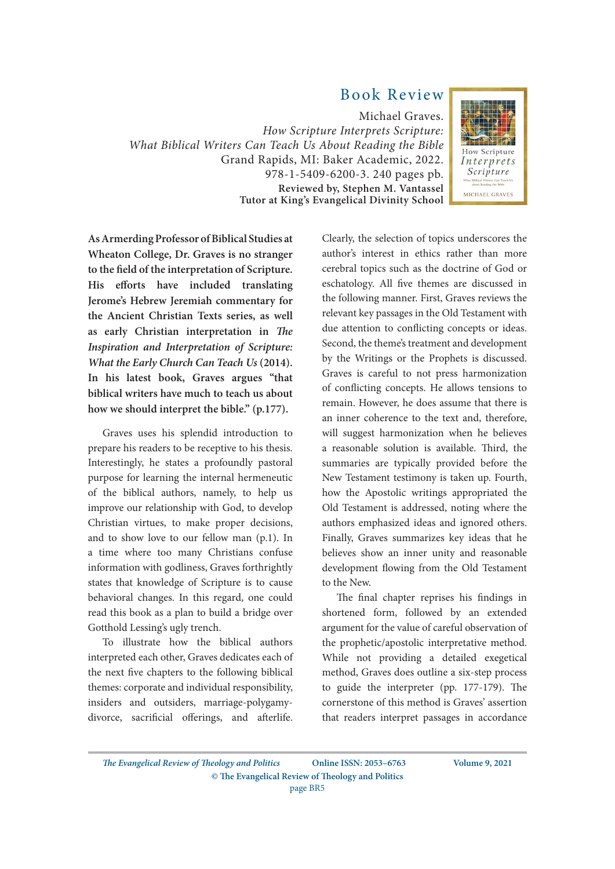## Book Review

Michael Graves. *How Scripture Interprets Scripture: What Biblical Writers Can Teach Us About Reading the Bible* Grand Rapids, MI: Baker Academic, 2022. 978-1-5409-6200-3. 240 pages pb. **Reviewed by, Stephen M. Vantassel Tutor at King's Evangelical Divinity School**



**As Armerding Professor of Biblical Studies at Wheaton College, Dr. Graves is no stranger to the field of the interpretation of Scripture. His efforts have included translating Jerome's Hebrew Jeremiah commentary for the Ancient Christian Texts series, as well as early Christian interpretation in** *The Inspiration and Interpretation of Scripture: What the Early Church Can Teach Us* **(2014). In his latest book, Graves argues "that biblical writers have much to teach us about how we should interpret the bible." (p.177).**

Graves uses his splendid introduction to prepare his readers to be receptive to his thesis. Interestingly, he states a profoundly pastoral purpose for learning the internal hermeneutic of the biblical authors, namely, to help us improve our relationship with God, to develop Christian virtues, to make proper decisions, and to show love to our fellow man (p.1). In a time where too many Christians confuse information with godliness, Graves forthrightly states that knowledge of Scripture is to cause behavioral changes. In this regard, one could read this book as a plan to build a bridge over Gotthold Lessing's ugly trench.

To illustrate how the biblical authors interpreted each other, Graves dedicates each of the next five chapters to the following biblical themes: corporate and individual responsibility, insiders and outsiders, marriage-polygamydivorce, sacrificial offerings, and afterlife.

Clearly, the selection of topics underscores the author's interest in ethics rather than more cerebral topics such as the doctrine of God or eschatology. All five themes are discussed in the following manner. First, Graves reviews the relevant key passages in the Old Testament with due attention to conflicting concepts or ideas. Second, the theme's treatment and development by the Writings or the Prophets is discussed. Graves is careful to not press harmonization of conflicting concepts. He allows tensions to remain. However, he does assume that there is an inner coherence to the text and, therefore, will suggest harmonization when he believes a reasonable solution is available. Third, the summaries are typically provided before the New Testament testimony is taken up. Fourth, how the Apostolic writings appropriated the Old Testament is addressed, noting where the authors emphasized ideas and ignored others. Finally, Graves summarizes key ideas that he believes show an inner unity and reasonable development flowing from the Old Testament to the New.

The final chapter reprises his findings in shortened form, followed by an extended argument for the value of careful observation of the prophetic/apostolic interpretative method. While not providing a detailed exegetical method, Graves does outline a six-step process to guide the interpreter (pp. 177-179). The cornerstone of this method is Graves' assertion that readers interpret passages in accordance